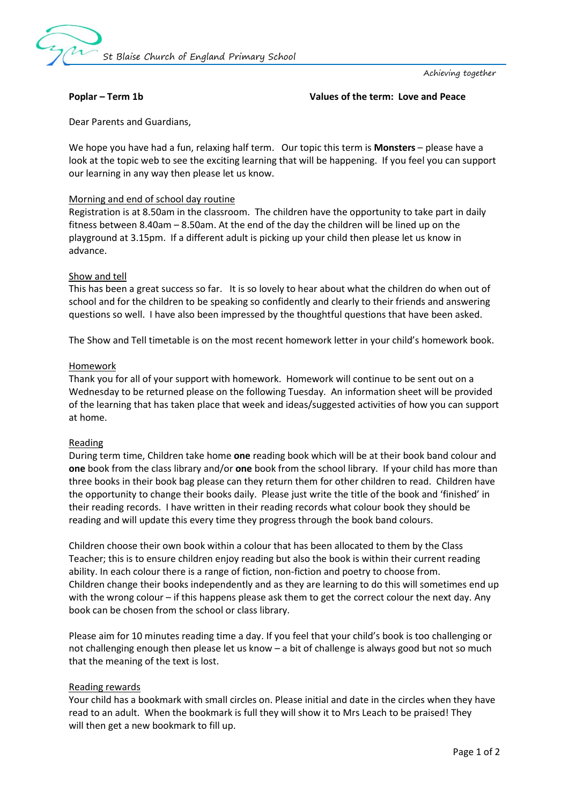

Achieving together

### **Poplar – Term 1b Values of the term: Love and Peace**

Dear Parents and Guardians,

We hope you have had a fun, relaxing half term. Our topic this term is **Monsters** – please have a look at the topic web to see the exciting learning that will be happening. If you feel you can support our learning in any way then please let us know.

### Morning and end of school day routine

Registration is at 8.50am in the classroom. The children have the opportunity to take part in daily fitness between 8.40am – 8.50am. At the end of the day the children will be lined up on the playground at 3.15pm. If a different adult is picking up your child then please let us know in advance.

### Show and tell

This has been a great success so far. It is so lovely to hear about what the children do when out of school and for the children to be speaking so confidently and clearly to their friends and answering questions so well. I have also been impressed by the thoughtful questions that have been asked.

The Show and Tell timetable is on the most recent homework letter in your child's homework book.

### Homework

Thank you for all of your support with homework. Homework will continue to be sent out on a Wednesday to be returned please on the following Tuesday. An information sheet will be provided of the learning that has taken place that week and ideas/suggested activities of how you can support at home.

### Reading

During term time, Children take home **one** reading book which will be at their book band colour and **one** book from the class library and/or **one** book from the school library. If your child has more than three books in their book bag please can they return them for other children to read. Children have the opportunity to change their books daily. Please just write the title of the book and 'finished' in their reading records. I have written in their reading records what colour book they should be reading and will update this every time they progress through the book band colours.

Children choose their own book within a colour that has been allocated to them by the Class Teacher; this is to ensure children enjoy reading but also the book is within their current reading ability. In each colour there is a range of fiction, non-fiction and poetry to choose from. Children change their books independently and as they are learning to do this will sometimes end up with the wrong colour – if this happens please ask them to get the correct colour the next day. Any book can be chosen from the school or class library.

Please aim for 10 minutes reading time a day. If you feel that your child's book is too challenging or not challenging enough then please let us know – a bit of challenge is always good but not so much that the meaning of the text is lost.

### Reading rewards

Your child has a bookmark with small circles on. Please initial and date in the circles when they have read to an adult. When the bookmark is full they will show it to Mrs Leach to be praised! They will then get a new bookmark to fill up.